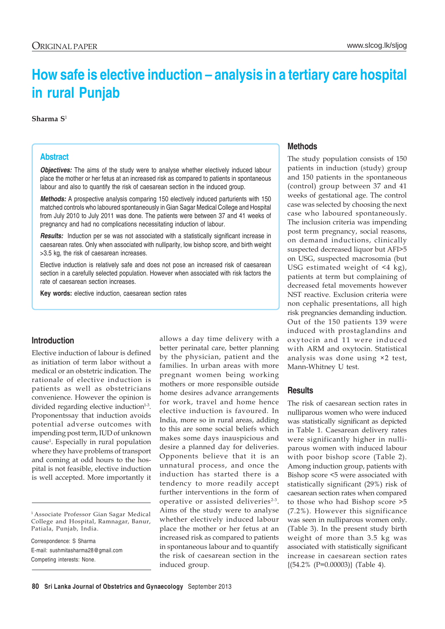# **How safe is elective induction – analysis in a tertiary care hospital in rural Punjab**

**Sharma S**<sup>1</sup>

#### **Abstract**

*Objectives:* The aims of the study were to analyse whether electively induced labour place the mother or her fetus at an increased risk as compared to patients in spontaneous labour and also to quantify the risk of caesarean section in the induced group.

*Methods:* A prospective analysis comparing 150 electively induced parturients with 150 matched controls who laboured spontaneously in Gian Sagar Medical College and Hospital from July 2010 to July 2011 was done. The patients were between 37 and 41 weeks of pregnancy and had no complications necessitating induction of labour.

**Results:** Induction per se was not associated with a statistically significant increase in caesarean rates. Only when associated with nulliparity, low bishop score, and birth weight >3.5 kg, the risk of caesarean increases.

Elective induction is relatively safe and does not pose an increased risk of caesarean section in a carefully selected population. However when associated with risk factors the rate of caesarean section increases.

**Key words:** elective induction, caesarean section rates

## **Introduction**

Elective induction of labour is defined as initiation of term labor without a medical or an obstetric indication. The rationale of elective induction is patients as well as obstetricians convenience. However the opinion is divided regarding elective induction $1-3$ . Proponentssay that induction avoids potential adverse outcomes with impending post term, IUD of unknown cause1 . Especially in rural population where they have problems of transport and coming at odd hours to the hospital is not feasible, elective induction is well accepted. More importantly it

1 Associate Professor Gian Sagar Medical College and Hospital, Ramnagar, Banur, Patiala, Punjab, India.

Correspondence: S Sharma E-mail: sushmitasharma28@gmail.com Competing interests: None.

allows a day time delivery with a better perinatal care, better planning by the physician, patient and the families. In urban areas with more pregnant women being working mothers or more responsible outside home desires advance arrangements for work, travel and home hence elective induction is favoured. In India, more so in rural areas, adding to this are some social beliefs which makes some days inauspicious and desire a planned day for deliveries. Opponents believe that it is an unnatural process, and once the induction has started there is a tendency to more readily accept further interventions in the form of operative or assisted deliveries<sup>2-3</sup>. Aims of the study were to analyse whether electively induced labour place the mother or her fetus at an increased risk as compared to patients in spontaneous labour and to quantify the risk of caesarean section in the induced group.

## **Methods**

The study population consists of 150 patients in induction (study) group and 150 patients in the spontaneous (control) group between 37 and 41 weeks of gestational age. The control case was selected by choosing the next case who laboured spontaneously. The inclusion criteria was impending post term pregnancy, social reasons, on demand inductions, clinically suspected decreased liquor but AFI>5 on USG, suspected macrosomia (but USG estimated weight of <4 kg), patients at term but complaining of decreased fetal movements however NST reactive. Exclusion criteria were non cephalic presentations, all high risk pregnancies demanding induction. Out of the 150 patients 139 were induced with prostaglandins and oxytocin and 11 were induced with ARM and oxytocin. Statistical analysis was done using ×2 test, Mann-Whitney U test.

## **Results**

The risk of caesarean section rates in nulliparous women who were induced was statistically significant as depicted in Table 1. Caesarean delivery rates were significantly higher in nulliparous women with induced labour with poor bishop score (Table 2). Among induction group, patients with Bishop score <5 were associated with statistically significant (29%) risk of caesarean section rates when compared to those who had Bishop score >5 (7.2%). However this significance was seen in nulliparous women only. (Table 3). In the present study birth weight of more than 3.5 kg was associated with statistically significant increase in caesarean section rates  ${(54.2\% (P=0.00003)} (Table 4).$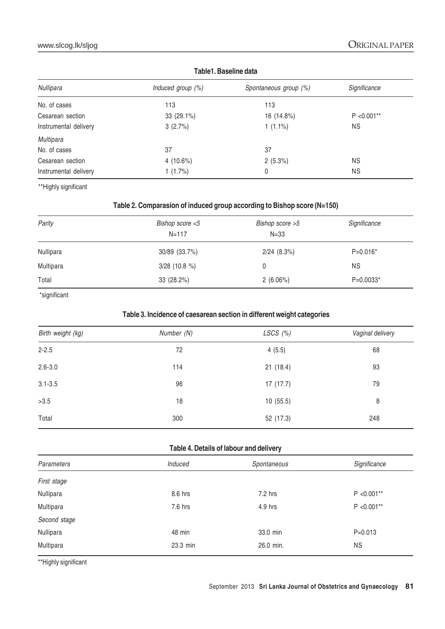| 1 GDIG 1. DUJCING GULU |                       |               |  |
|------------------------|-----------------------|---------------|--|
| Induced group $(\%)$   | Spontaneous group (%) | Significance  |  |
| 113                    | 113                   |               |  |
| 33 (29.1%)             | 16 (14.8%)            | $P < 0.001**$ |  |
| 3(2.7%)                | $1(1.1\%)$            | <b>NS</b>     |  |
|                        |                       |               |  |
| 37                     | 37                    |               |  |
| 4 $(10.6\%)$           | $2(5.3\%)$            | <b>NS</b>     |  |
| 1 $(1.7\%)$            | 0                     | <b>NS</b>     |  |
|                        |                       |               |  |

**Table1. Baseline data**

\*\*Highly significant

## **Table 2. Comparasion of induced group according to Bishop score (N=150)**

| Parity    | Bishop score <5<br>$N = 117$ | Bishop score >5<br>$N = 33$ | Significance |
|-----------|------------------------------|-----------------------------|--------------|
| Nullipara | 30/89 (33.7%)                | $2/24$ $(8.3\%)$            | $P=0.016*$   |
| Multipara | $3/28$ (10.8 %)              |                             | <b>NS</b>    |
| Total     | 33 (28.2%)                   | 2(6.06%)                    | $P=0.0033*$  |

\*significant

## **Table 3. Incidence of caesarean section in different weight categories**

| Birth weight (kg) | Number (N) | LSCS $(%)$ | Vaginal delivery |
|-------------------|------------|------------|------------------|
| $2 - 2.5$         | 72         | 4(5.5)     | 68               |
| $2.6 - 3.0$       | 114        | 21(18.4)   | 93               |
| $3.1 - 3.5$       | 96         | 17(17.7)   | 79               |
| >3.5              | 18         | 10(55.5)   | 8                |
| Total             | 300        | 52 (17.3)  | 248              |

## **Table 4. Details of labour and delivery**

| Parameters   | Induced  | Spontaneous | Significance  |
|--------------|----------|-------------|---------------|
| First stage  |          |             |               |
| Nullipara    | 8.6 hrs  | 7.2 hrs     | $P < 0.001**$ |
| Multipara    | 7.6 hrs  | 4.9 hrs     | $P < 0.001**$ |
| Second stage |          |             |               |
| Nullipara    | 48 min   | 33.0 min    | $P = 0.013$   |
| Multipara    | 23.3 min | 26.0 min.   | ΝS            |
|              |          |             |               |

\*\*Highly significant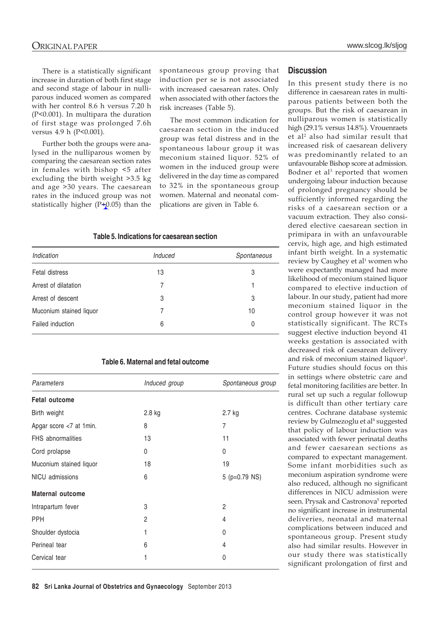There is a statistically significant increase in duration of both first stage and second stage of labour in nulliparous induced women as compared with her control 8.6 h versus 7.20 h (P<0.001). In multipara the duration of first stage was prolonged 7.6h versus 4.9 h (P<0.001).

Further both the groups were analysed in the nulliparous women by comparing the caesarean section rates in females with bishop <5 after excluding the birth weight >3.5 kg and age >30 years. The caesarean rates in the induced group was not statistically higher  $(P+0.05)$  than the

spontaneous group proving that induction per se is not associated with increased caesarean rates. Only when associated with other factors the risk increases (Table 5).

The most common indication for caesarean section in the induced group was fetal distress and in the spontaneous labour group it was meconium stained liquor. 52% of women in the induced group were delivered in the day time as compared to 32% in the spontaneous group women. Maternal and neonatal complications are given in Table 6.

#### **Table 5. Indications for caesarean section**

| Indication              | Induced | Spontaneous |
|-------------------------|---------|-------------|
| Fetal distress          | 13      | 3           |
| Arrest of dilatation    |         |             |
| Arrest of descent       | 3       | 3           |
| Muconium stained liquor |         | 10          |
| Failed induction        | 6       | 0           |

#### **Table 6. Maternal and fetal outcome**

| Induced group | Spontaneous group |
|---------------|-------------------|
|               |                   |
| $2.8$ kg      | 2.7 kg            |
| 8             | 7                 |
| 13            | 11                |
| 0             | 0                 |
| 18            | 19                |
| 6             | 5 ( $p=0.79$ NS)  |
|               |                   |
| 3             | 2                 |
| 2             | 4                 |
| 1             | 0                 |
| 6             | 4                 |
| 1             | 0                 |
|               |                   |

#### **Discussion**

In this present study there is no difference in caesarean rates in multiparous patients between both the groups. But the risk of caesarean in nulliparous women is statistically high (29.1% versus 14.8%). Vrouenraets et al2 also had similar result that increased risk of caesarean delivery was predominantly related to an unfavourable Bishop score at admission. Bodner et al<sup>3</sup> reported that women undergoing labour induction because of prolonged pregnancy should be sufficiently informed regarding the risks of a caesarean section or a vacuum extraction. They also considered elective caesarean section in primipara in with an unfavourable cervix, high age, and high estimated infant birth weight. In a systematic review by Caughey et al<sup>1</sup> women who were expectantly managed had more likelihood of meconium stained liquor compared to elective induction of labour. In our study, patient had more meconium stained liquor in the control group however it was not statistically significant. The RCTs suggest elective induction beyond 41 weeks gestation is associated with decreased risk of caesarean delivery and risk of meconium stained liquor<sup>1</sup>. Future studies should focus on this in settings where obstetric care and fetal monitoring facilities are better. In rural set up such a regular followup is difficult than other tertiary care centres. Cochrane database systemic review by Gulmezoglu et al<sup>4</sup> suggested that policy of labour induction was associated with fewer perinatal deaths and fewer caesarean sections as compared to expectant management. Some infant morbidities such as meconium aspiration syndrome were also reduced, although no significant differences in NICU admission were seen. Prysak and Castronova<sup>5</sup> reported no significant increase in instrumental deliveries, neonatal and maternal complications between induced and spontaneous group. Present study also had similar results. However in our study there was statistically significant prolongation of first and